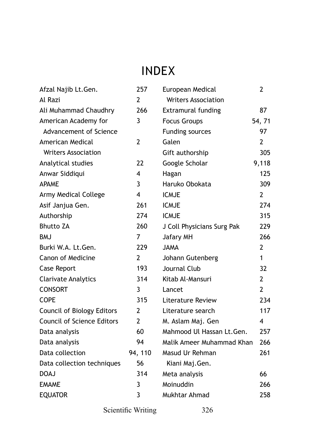## INDEX

| Afzal Najib Lt.Gen.               | 257            | European Medical           | 2              |
|-----------------------------------|----------------|----------------------------|----------------|
| Al Razi                           | $\overline{2}$ | <b>Writers Association</b> |                |
| Ali Muhammad Chaudhry             | 266            | Extramural funding         | 87             |
| American Academy for              | 3              | <b>Focus Groups</b>        | 54, 71         |
| Advancement of Science            |                | Funding sources            | 97             |
| American Medical                  | $\overline{2}$ | Galen                      | $\overline{2}$ |
| <b>Writers Association</b>        |                | Gift authorship            | 305            |
| Analytical studies                | 22             | Google Scholar             | 9,118          |
| Anwar Siddiqui                    | 4              | Hagan                      | 125            |
| <b>APAME</b>                      | 3              | Haruko Obokata             | 309            |
| Army Medical College              | 4              | <b>ICMJE</b>               | 2              |
| Asif Janjua Gen.                  | 261            | <b>ICMJE</b>               | 274            |
| Authorship                        | 274            | <b>ICMJE</b>               | 315            |
| <b>Bhutto ZA</b>                  | 260            | J Coll Physicians Surg Pak | 229            |
| <b>BMJ</b>                        | 7              | Jafary MH                  | 266            |
| Burki W.A. Lt.Gen.                | 229            | <b>JAMA</b>                | 2              |
| Canon of Medicine                 | 2              | Johann Gutenberg           | 1              |
| Case Report                       | 193            | Journal Club               | 32             |
| <b>Clarivate Analytics</b>        | 314            | Kitab Al-Mansuri           | 2              |
| <b>CONSORT</b>                    | 3              | Lancet                     | $\overline{2}$ |
| <b>COPE</b>                       | 315            | Literature Review          | 234            |
| Council of Biology Editors        | $\overline{2}$ | Literature search          | 117            |
| <b>Council of Science Editors</b> | $\overline{2}$ | M. Aslam Maj. Gen          | 4              |
| Data analysis                     | 60             | Mahmood Ul Hassan Lt.Gen.  | 257            |
| Data analysis                     | 94             | Malik Ameer Muhammad Khan  | 266            |
| Data collection                   | 94, 110        | Masud Ur Rehman            | 261            |
| Data collection techniques        | 56             | Kiani Maj.Gen.             |                |
| <b>DOAJ</b>                       | 314            | Meta analysis              | 66             |
| <b>EMAME</b>                      | 3              | Moinuddin                  | 266            |
| <b>EQUATOR</b>                    | 3              | Mukhtar Ahmad              | 258            |

Scientific Writing 326